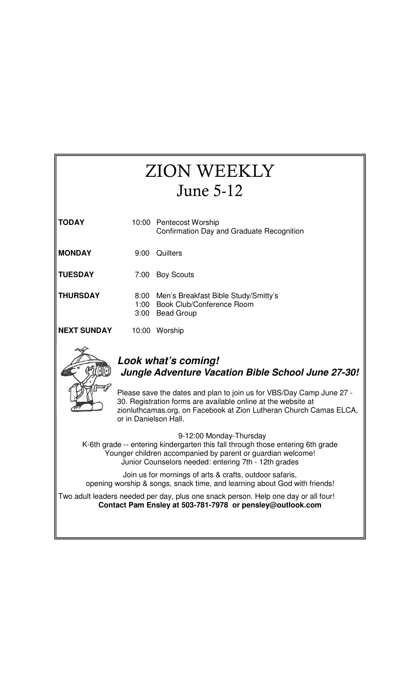## **TODAY** 10:00 Pentecost Worship Confirmation Day and Graduate Recognition **MONDAY** 9:00 Quilters **TUESDAY** 7:00 Boy Scouts **THURSDAY** 8:00 Men's Breakfast Bible Study/Smitty's 1:00 Book Club/Conference Room 3:00 Bead Group **NEXT SUNDAY** 10:00 Worship **Look what's coming! Jungle Adventure Vacation Bible School June 27-30!**  Please save the dates and plan to join us for VBS/Day Camp June 27 - 30. Registration forms are available online at the website at zionluthcamas.org, on Facebook at Zion Lutheran Church Camas ELCA, or in Danielson Hall. 9-12:00 Monday-Thursday K-6th grade -- entering kindergarten this fall through those entering 6th grade Younger children accompanied by parent or guardian welcome! Junior Counselors needed: entering 7th - 12th grades Join us for mornings of arts & crafts, outdoor safaris, opening worship & songs, snack time, and learning about God with friends! Two adult leaders needed per day, plus one snack person. Help one day or all four! **Contact Pam Ensley at 503-781-7978 or pensley@outlook.com**  ZION WEEKLY June 5-12